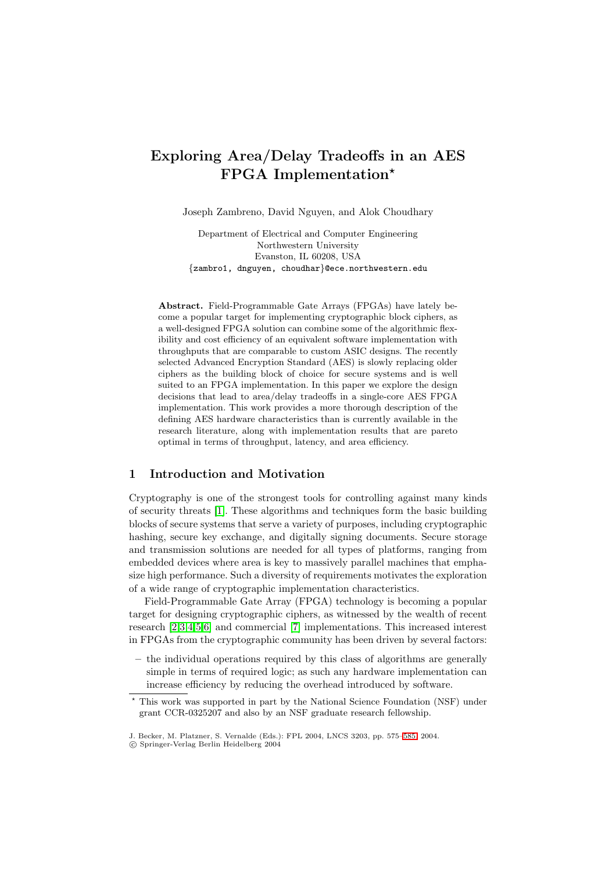# **Exploring Area/Delay Tradeoffs in an AES FPGA Implementation**

Joseph Zambreno, David Nguyen, and Alok Choudhary

Department of Electrical and Computer Engineering Northwestern University Evanston, IL 60208, USA {zambro1, dnguyen, choudhar}@ece.northwestern.edu

**Abstract.** Field-Programmable Gate Arrays (FPGAs) have lately become a popular target for implementing cryptographic block ciphers, as a well-designed FPGA solution can combine some of the algorithmic flexibility and cost efficiency of an equivalent software implementation with throughputs that are comparable to custom ASIC designs. The recently selected Advanced Encryption Standard (AES) is slowly replacing older ciphers as the building block of choice for secure systems and is well suited to an FPGA implementation. In this paper we explore the design decisions that lead to area/delay tradeoffs in a single-core AES FPGA implementation. This work provides a more thorough description of the defining AES hardware characteristics than is currently available in the research literature, along with implementation results that are pareto optimal in terms of throughput, latency, and area efficiency.

### **1 Introduction and Motivation**

Cryptography is one of the strongest tools for controlling against many kinds of security threats [\[1\]](#page-9-0). These algorithms and techniques form the basic building blocks of secure systems that serve a variety of purposes, including cryptographic hashing, secure key exchange, and digitally signing documents. Secure storage and transmission solutions are needed for all types of platforms, ranging from embedded devices where area is key to massively parallel machines that emphasize high performance. Such a diversity of requirements motivates the exploration of a wide range of cryptographic implementation characteristics.

Field-Programmable Gate Array (FPGA) technology is becoming a popular target for designing cryptographic ciphers, as witnessed by the wealth of recent research [\[2,3,4,5,6\]](#page-9-0) and commercial [\[7\]](#page-9-0) implementations. This increased interest in FPGAs from the cryptographic community has been driven by several factors:

**–** the individual operations required by this class of algorithms are generally simple in terms of required logic; as such any hardware implementation can increase efficiency by reducing the overhead introduced by software.

This work was supported in part by the National Science Foundation (NSF) under grant CCR-0325207 and also by an NSF graduate research fellowship.

J. Becker, M. Platzner, S. Vernalde (Eds.): FPL 2004, LNCS 3203, pp. 575[–585,](#page-9-0) 2004.

c Springer-Verlag Berlin Heidelberg 2004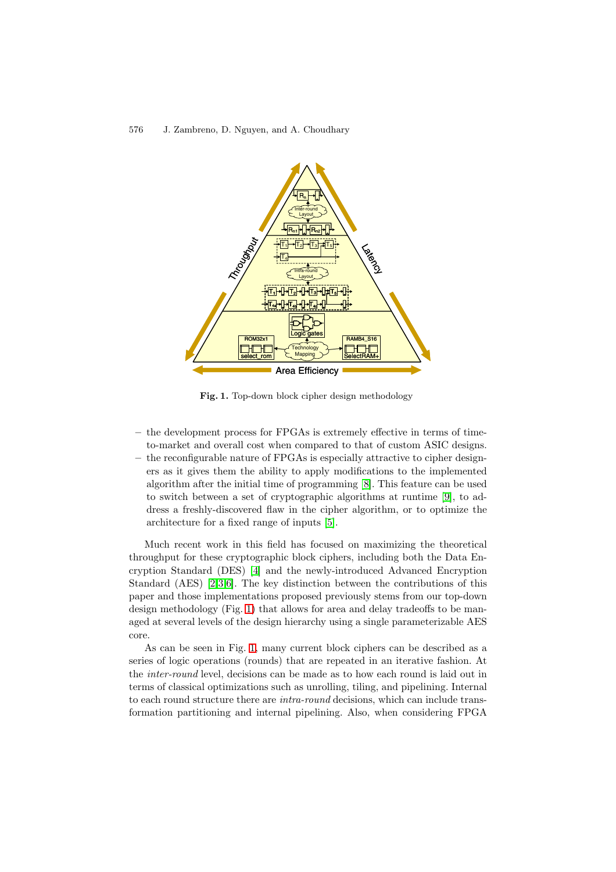

**Fig. 1.** Top-down block cipher design methodology

- **–** the development process for FPGAs is extremely effective in terms of timeto-market and overall cost when compared to that of custom ASIC designs.
- **–** the reconfigurable nature of FPGAs is especially attractive to cipher designers as it gives them the ability to apply modifications to the implemented algorithm after the initial time of programming [\[8\]](#page-9-0). This feature can be used to switch between a set of cryptographic algorithms at runtime [\[9\]](#page-9-0), to address a freshly-discovered flaw in the cipher algorithm, or to optimize the architecture for a fixed range of inputs [\[5\]](#page-9-0).

Much recent work in this field has focused on maximizing the theoretical throughput for these cryptographic block ciphers, including both the Data Encryption Standard (DES) [\[4\]](#page-9-0) and the newly-introduced Advanced Encryption Standard (AES) [\[2,3,6\]](#page-9-0). The key distinction between the contributions of this paper and those implementations proposed previously stems from our top-down design methodology (Fig. 1) that allows for area and delay tradeoffs to be managed at several levels of the design hierarchy using a single parameterizable AES core.

As can be seen in Fig. 1, many current block ciphers can be described as a series of logic operations (rounds) that are repeated in an iterative fashion. At the *inter-round* level, decisions can be made as to how each round is laid out in terms of classical optimizations such as unrolling, tiling, and pipelining. Internal to each round structure there are *intra-round* decisions, which can include transformation partitioning and internal pipelining. Also, when considering FPGA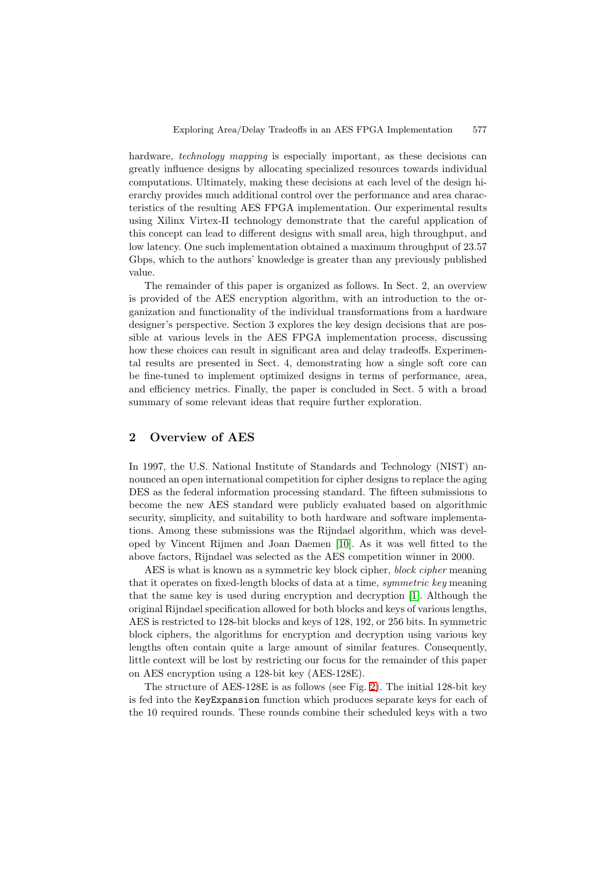hardware, *technology mapping* is especially important, as these decisions can greatly influence designs by allocating specialized resources towards individual computations. Ultimately, making these decisions at each level of the design hierarchy provides much additional control over the performance and area characteristics of the resulting AES FPGA implementation. Our experimental results using Xilinx Virtex-II technology demonstrate that the careful application of this concept can lead to different designs with small area, high throughput, and low latency. One such implementation obtained a maximum throughput of 23.57 Gbps, which to the authors' knowledge is greater than any previously published value.

The remainder of this paper is organized as follows. In Sect. 2, an overview is provided of the AES encryption algorithm, with an introduction to the organization and functionality of the individual transformations from a hardware designer's perspective. Section 3 explores the key design decisions that are possible at various levels in the AES FPGA implementation process, discussing how these choices can result in significant area and delay tradeoffs. Experimental results are presented in Sect. 4, demonstrating how a single soft core can be fine-tuned to implement optimized designs in terms of performance, area, and efficiency metrics. Finally, the paper is concluded in Sect. 5 with a broad summary of some relevant ideas that require further exploration.

## **2 Overview of AES**

In 1997, the U.S. National Institute of Standards and Technology (NIST) announced an open international competition for cipher designs to replace the aging DES as the federal information processing standard. The fifteen submissions to become the new AES standard were publicly evaluated based on algorithmic security, simplicity, and suitability to both hardware and software implementations. Among these submissions was the Rijndael algorithm, which was developed by Vincent Rijmen and Joan Daemen [\[10\]](#page-10-0). As it was well fitted to the above factors, Rijndael was selected as the AES competition winner in 2000.

AES is what is known as a symmetric key block cipher, *block cipher* meaning that it operates on fixed-length blocks of data at a time, *symmetric key* meaning that the same key is used during encryption and decryption [\[1\]](#page-9-0). Although the original Rijndael specification allowed for both blocks and keys of various lengths, AES is restricted to 128-bit blocks and keys of 128, 192, or 256 bits. In symmetric block ciphers, the algorithms for encryption and decryption using various key lengths often contain quite a large amount of similar features. Consequently, little context will be lost by restricting our focus for the remainder of this paper on AES encryption using a 128-bit key (AES-128E).

The structure of AES-128E is as follows (see Fig. [2\)](#page-3-0). The initial 128-bit key is fed into the KeyExpansion function which produces separate keys for each of the 10 required rounds. These rounds combine their scheduled keys with a two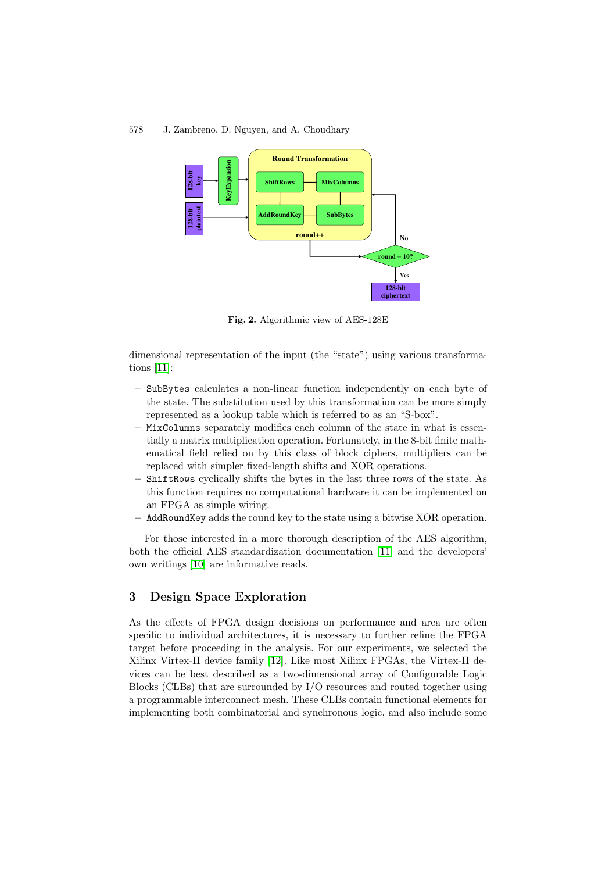<span id="page-3-0"></span>

**Fig. 2.** Algorithmic view of AES-128E

dimensional representation of the input (the "state") using various transformations [\[11\]](#page-10-0):

- **–** SubBytes calculates a non-linear function independently on each byte of the state. The substitution used by this transformation can be more simply represented as a lookup table which is referred to as an "S-box".
- **–** MixColumns separately modifies each column of the state in what is essentially a matrix multiplication operation. Fortunately, in the 8-bit finite mathematical field relied on by this class of block ciphers, multipliers can be replaced with simpler fixed-length shifts and XOR operations.
- **–** ShiftRows cyclically shifts the bytes in the last three rows of the state. As this function requires no computational hardware it can be implemented on an FPGA as simple wiring.
- **–** AddRoundKey adds the round key to the state using a bitwise XOR operation.

For those interested in a more thorough description of the AES algorithm, both the official AES standardization documentation [\[11\]](#page-10-0) and the developers' own writings [\[10\]](#page-10-0) are informative reads.

# **3 Design Space Exploration**

As the effects of FPGA design decisions on performance and area are often specific to individual architectures, it is necessary to further refine the FPGA target before proceeding in the analysis. For our experiments, we selected the Xilinx Virtex-II device family [\[12\]](#page-10-0). Like most Xilinx FPGAs, the Virtex-II devices can be best described as a two-dimensional array of Configurable Logic Blocks (CLBs) that are surrounded by I/O resources and routed together using a programmable interconnect mesh. These CLBs contain functional elements for implementing both combinatorial and synchronous logic, and also include some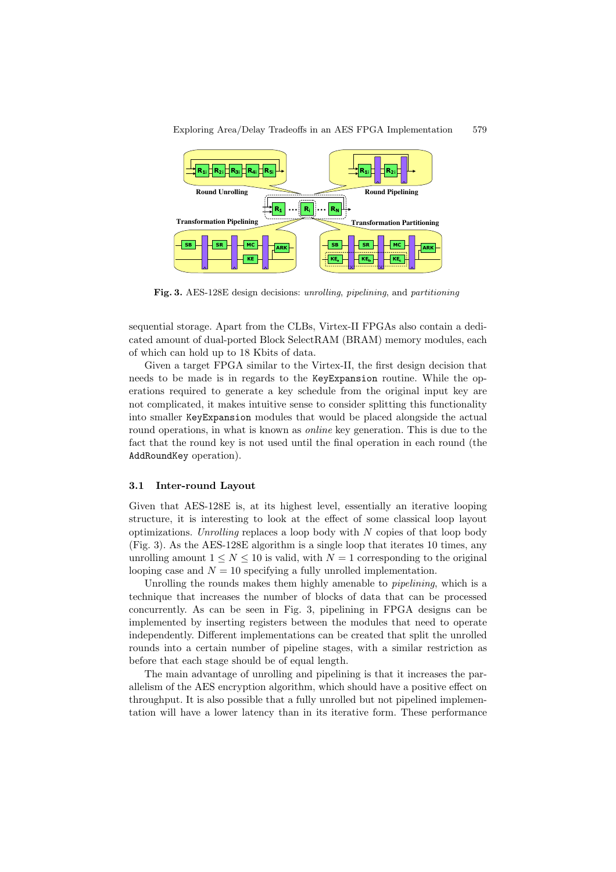

**Fig. 3.** AES-128E design decisions: unrolling, pipelining, and partitioning

sequential storage. Apart from the CLBs, Virtex-II FPGAs also contain a dedicated amount of dual-ported Block SelectRAM (BRAM) memory modules, each of which can hold up to 18 Kbits of data.

Given a target FPGA similar to the Virtex-II, the first design decision that needs to be made is in regards to the KeyExpansion routine. While the operations required to generate a key schedule from the original input key are not complicated, it makes intuitive sense to consider splitting this functionality into smaller KeyExpansion modules that would be placed alongside the actual round operations, in what is known as *online* key generation. This is due to the fact that the round key is not used until the final operation in each round (the AddRoundKey operation).

#### **3.1 Inter-round Layout**

Given that AES-128E is, at its highest level, essentially an iterative looping structure, it is interesting to look at the effect of some classical loop layout optimizations. *Unrolling* replaces a loop body with N copies of that loop body (Fig. 3). As the AES-128E algorithm is a single loop that iterates 10 times, any unrolling amount  $1 \leq N \leq 10$  is valid, with  $N = 1$  corresponding to the original looping case and  $N = 10$  specifying a fully unrolled implementation.

Unrolling the rounds makes them highly amenable to *pipelining*, which is a technique that increases the number of blocks of data that can be processed concurrently. As can be seen in Fig. 3, pipelining in FPGA designs can be implemented by inserting registers between the modules that need to operate independently. Different implementations can be created that split the unrolled rounds into a certain number of pipeline stages, with a similar restriction as before that each stage should be of equal length.

The main advantage of unrolling and pipelining is that it increases the parallelism of the AES encryption algorithm, which should have a positive effect on throughput. It is also possible that a fully unrolled but not pipelined implementation will have a lower latency than in its iterative form. These performance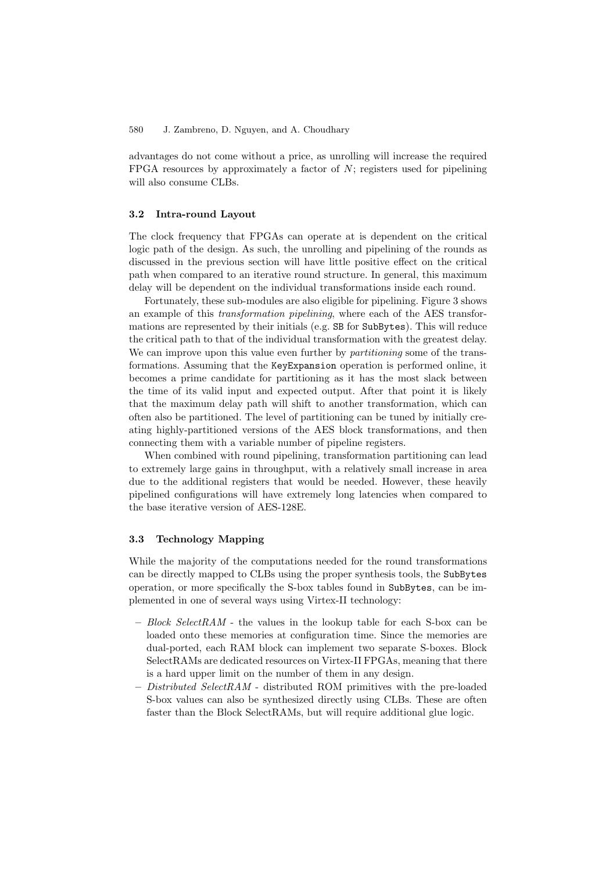advantages do not come without a price, as unrolling will increase the required FPGA resources by approximately a factor of  $N$ ; registers used for pipelining will also consume CLBs.

### **3.2 Intra-round Layout**

The clock frequency that FPGAs can operate at is dependent on the critical logic path of the design. As such, the unrolling and pipelining of the rounds as discussed in the previous section will have little positive effect on the critical path when compared to an iterative round structure. In general, this maximum delay will be dependent on the individual transformations inside each round.

Fortunately, these sub-modules are also eligible for pipelining. Figure 3 shows an example of this *transformation pipelining*, where each of the AES transformations are represented by their initials (e.g. SB for SubBytes). This will reduce the critical path to that of the individual transformation with the greatest delay. We can improve upon this value even further by *partitioning* some of the transformations. Assuming that the KeyExpansion operation is performed online, it becomes a prime candidate for partitioning as it has the most slack between the time of its valid input and expected output. After that point it is likely that the maximum delay path will shift to another transformation, which can often also be partitioned. The level of partitioning can be tuned by initially creating highly-partitioned versions of the AES block transformations, and then connecting them with a variable number of pipeline registers.

When combined with round pipelining, transformation partitioning can lead to extremely large gains in throughput, with a relatively small increase in area due to the additional registers that would be needed. However, these heavily pipelined configurations will have extremely long latencies when compared to the base iterative version of AES-128E.

### **3.3 Technology Mapping**

While the majority of the computations needed for the round transformations can be directly mapped to CLBs using the proper synthesis tools, the SubBytes operation, or more specifically the S-box tables found in SubBytes, can be implemented in one of several ways using Virtex-II technology:

- **–** *Block SelectRAM* the values in the lookup table for each S-box can be loaded onto these memories at configuration time. Since the memories are dual-ported, each RAM block can implement two separate S-boxes. Block SelectRAMs are dedicated resources on Virtex-II FPGAs, meaning that there is a hard upper limit on the number of them in any design.
- **–** *Distributed SelectRAM* distributed ROM primitives with the pre-loaded S-box values can also be synthesized directly using CLBs. These are often faster than the Block SelectRAMs, but will require additional glue logic.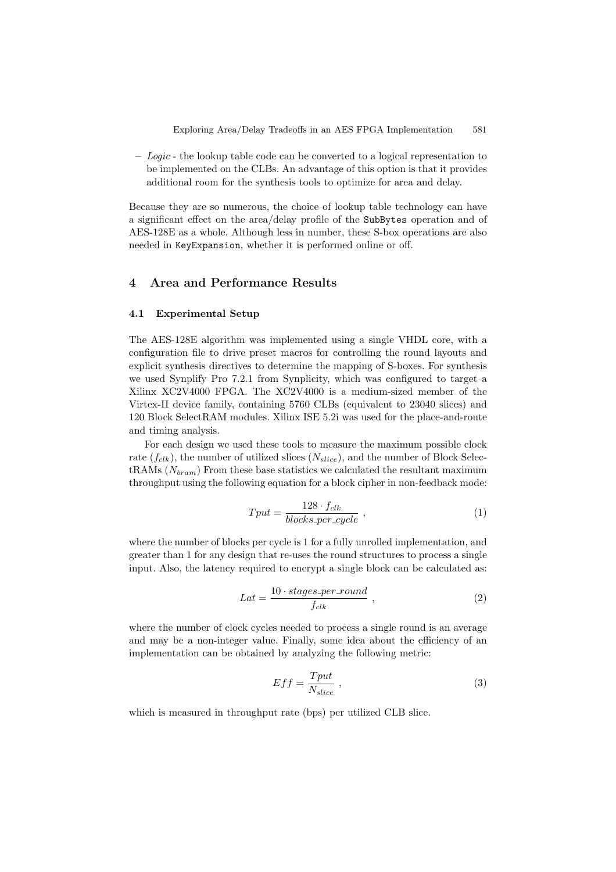**–** *Logic* - the lookup table code can be converted to a logical representation to be implemented on the CLBs. An advantage of this option is that it provides additional room for the synthesis tools to optimize for area and delay.

Because they are so numerous, the choice of lookup table technology can have a significant effect on the area/delay profile of the SubBytes operation and of AES-128E as a whole. Although less in number, these S-box operations are also needed in KeyExpansion, whether it is performed online or off.

### **4 Area and Performance Results**

### **4.1 Experimental Setup**

The AES-128E algorithm was implemented using a single VHDL core, with a configuration file to drive preset macros for controlling the round layouts and explicit synthesis directives to determine the mapping of S-boxes. For synthesis we used Synplify Pro 7.2.1 from Synplicity, which was configured to target a Xilinx XC2V4000 FPGA. The XC2V4000 is a medium-sized member of the Virtex-II device family, containing 5760 CLBs (equivalent to 23040 slices) and 120 Block SelectRAM modules. Xilinx ISE 5.2i was used for the place-and-route and timing analysis.

For each design we used these tools to measure the maximum possible clock rate  $(f_{clk})$ , the number of utilized slices  $(N_{slice})$ , and the number of Block SelectRAMs  $(N_{bram})$  From these base statistics we calculated the resultant maximum throughput using the following equation for a block cipher in non-feedback mode:

$$
Tput = \frac{128 \cdot f_{clk}}{blocks\_per\_cycle} , \qquad (1)
$$

where the number of blocks per cycle is 1 for a fully unrolled implementation, and greater than 1 for any design that re-uses the round structures to process a single input. Also, the latency required to encrypt a single block can be calculated as:

$$
Lat = \frac{10 \cdot stages\_per\_round}{f_{clk}} \,, \tag{2}
$$

where the number of clock cycles needed to process a single round is an average and may be a non-integer value. Finally, some idea about the efficiency of an implementation can be obtained by analyzing the following metric:

$$
Eff = \frac{Tput}{N_{slice}} \,, \tag{3}
$$

which is measured in throughput rate (bps) per utilized CLB slice.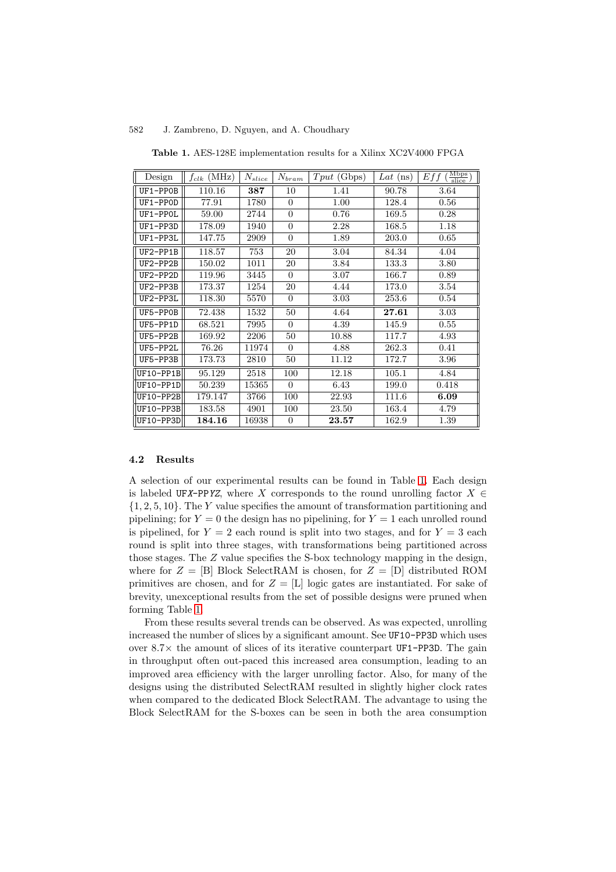| Design            | $f_{clk}$ (MHz) | $\mathcal{N}_{slice}$ | $\mathcal{N}_{bram}$ | $Tput$ (Gbps) | Lat $(ns)$ | $Eff\ (\frac{\text{Mbps}}{\text{slice}})$ |
|-------------------|-----------------|-----------------------|----------------------|---------------|------------|-------------------------------------------|
| UF1-PP0B          | 110.16          | 387                   | 10                   | 1.41          | 90.78      | 3.64                                      |
| UF1-PPOD          | 77.91           | 1780                  | $\overline{0}$       | 1.00          | 128.4      | 0.56                                      |
| UF1-PPOL          | 59.00           | 2744                  | $\overline{0}$       | 0.76          | 169.5      | 0.28                                      |
| UF1-PP3D          | 178.09          | 1940                  | $\overline{0}$       | 2.28          | 168.5      | 1.18                                      |
| UF1-PP3L          | 147.75          | 2909                  | $\overline{0}$       | 1.89          | 203.0      | 0.65                                      |
| UF2-PP1B          | 118.57          | 753                   | 20                   | 3.04          | 84.34      | 4.04                                      |
| UF2-PP2B          | 150.02          | 1011                  | 20                   | 3.84          | 133.3      | 3.80                                      |
| UF2-PP2D          | 119.96          | 3445                  | $\theta$             | 3.07          | 166.7      | 0.89                                      |
| UF2-PP3B          | 173.37          | 1254                  | 20                   | 4.44          | 173.0      | 3.54                                      |
| UF2-PP3L          | 118.30          | 5570                  | $\theta$             | 3.03          | 253.6      | 0.54                                      |
| UF5-PP0B          | 72.438          | 1532                  | 50                   | 4.64          | 27.61      | 3.03                                      |
| UF5-PP1D          | 68.521          | 7995                  | $\theta$             | 4.39          | 145.9      | 0.55                                      |
| UF5-PP2B          | 169.92          | 2206                  | 50                   | 10.88         | 117.7      | 4.93                                      |
| UF5-PP2L          | 76.26           | 11974                 | $\Omega$             | 4.88          | 262.3      | 0.41                                      |
| UF5-PP3B          | 173.73          | 2810                  | 50                   | 11.12         | 172.7      | 3.96                                      |
| $ $ UF10-PP1B $ $ | 95.129          | 2518                  | 100                  | 12.18         | 105.1      | 4.84                                      |
| UF10-PP1D         | 50.239          | 15365                 | $\Omega$             | 6.43          | 199.0      | 0.418                                     |
| UF10-PP2B         | 179.147         | 3766                  | 100                  | 22.93         | 111.6      | 6.09                                      |
| UF10-PP3B         | 183.58          | 4901                  | 100                  | 23.50         | 163.4      | 4.79                                      |
| UF10-PP3D         | 184.16          | 16938                 | $\boldsymbol{0}$     | 23.57         | 162.9      | 1.39                                      |

**Table 1.** AES-128E implementation results for a Xilinx XC2V4000 FPGA

#### **4.2 Results**

A selection of our experimental results can be found in Table 1. Each design is labeled UFX-PPYZ, where X corresponds to the round unrolling factor  $X \in$  $\{1, 2, 5, 10\}$ . The Y value specifies the amount of transformation partitioning and pipelining; for  $Y = 0$  the design has no pipelining, for  $Y = 1$  each unrolled round is pipelined, for  $Y = 2$  each round is split into two stages, and for  $Y = 3$  each round is split into three stages, with transformations being partitioned across those stages. The Z value specifies the S-box technology mapping in the design, where for  $Z = [B]$  Block SelectRAM is chosen, for  $Z = [D]$  distributed ROM primitives are chosen, and for  $Z = [L]$  logic gates are instantiated. For sake of brevity, unexceptional results from the set of possible designs were pruned when forming Table 1.

From these results several trends can be observed. As was expected, unrolling increased the number of slices by a significant amount. See UF10-PP3D which uses over  $8.7\times$  the amount of slices of its iterative counterpart UF1-PP3D. The gain in throughput often out-paced this increased area consumption, leading to an improved area efficiency with the larger unrolling factor. Also, for many of the designs using the distributed SelectRAM resulted in slightly higher clock rates when compared to the dedicated Block SelectRAM. The advantage to using the Block SelectRAM for the S-boxes can be seen in both the area consumption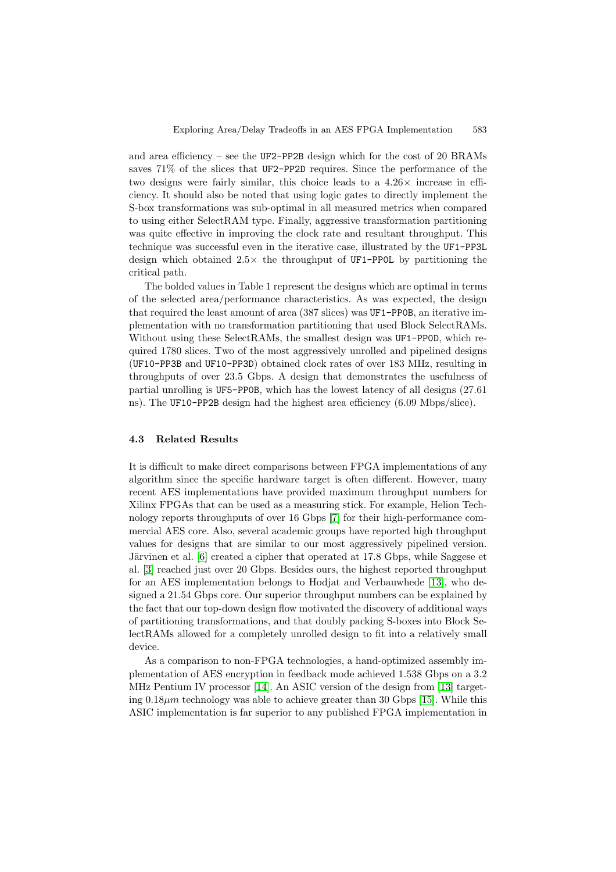and area efficiency – see the UF2-PP2B design which for the cost of 20 BRAMs saves 71% of the slices that UF2-PP2D requires. Since the performance of the two designs were fairly similar, this choice leads to a  $4.26\times$  increase in efficiency. It should also be noted that using logic gates to directly implement the S-box transformations was sub-optimal in all measured metrics when compared to using either SelectRAM type. Finally, aggressive transformation partitioning was quite effective in improving the clock rate and resultant throughput. This technique was successful even in the iterative case, illustrated by the UF1-PP3L design which obtained  $2.5\times$  the throughput of UF1-PP0L by partitioning the critical path.

The bolded values in Table 1 represent the designs which are optimal in terms of the selected area/performance characteristics. As was expected, the design that required the least amount of area (387 slices) was UF1-PP0B, an iterative implementation with no transformation partitioning that used Block SelectRAMs. Without using these SelectRAMs, the smallest design was UF1-PP0D, which required 1780 slices. Two of the most aggressively unrolled and pipelined designs (UF10-PP3B and UF10-PP3D) obtained clock rates of over 183 MHz, resulting in throughputs of over 23.5 Gbps. A design that demonstrates the usefulness of partial unrolling is UF5-PP0B, which has the lowest latency of all designs (27.61 ns). The UF10-PP2B design had the highest area efficiency (6.09 Mbps/slice).

### **4.3 Related Results**

It is difficult to make direct comparisons between FPGA implementations of any algorithm since the specific hardware target is often different. However, many recent AES implementations have provided maximum throughput numbers for Xilinx FPGAs that can be used as a measuring stick. For example, Helion Technology reports throughputs of over 16 Gbps [\[7\]](#page-9-0) for their high-performance commercial AES core. Also, several academic groups have reported high throughput values for designs that are similar to our most aggressively pipelined version. Järvinen et al. [\[6\]](#page-9-0) created a cipher that operated at 17.8 Gbps, while Saggese et al. [\[3\]](#page-9-0) reached just over 20 Gbps. Besides ours, the highest reported throughput for an AES implementation belongs to Hodjat and Verbauwhede [\[13\]](#page-10-0), who designed a 21.54 Gbps core. Our superior throughput numbers can be explained by the fact that our top-down design flow motivated the discovery of additional ways of partitioning transformations, and that doubly packing S-boxes into Block SelectRAMs allowed for a completely unrolled design to fit into a relatively small device.

As a comparison to non-FPGA technologies, a hand-optimized assembly implementation of AES encryption in feedback mode achieved 1.538 Gbps on a 3.2 MHz Pentium IV processor [\[14\]](#page-10-0). An ASIC version of the design from [\[13\]](#page-10-0) targeting  $0.18\mu m$  technology was able to achieve greater than 30 Gbps [\[15\]](#page-10-0). While this ASIC implementation is far superior to any published FPGA implementation in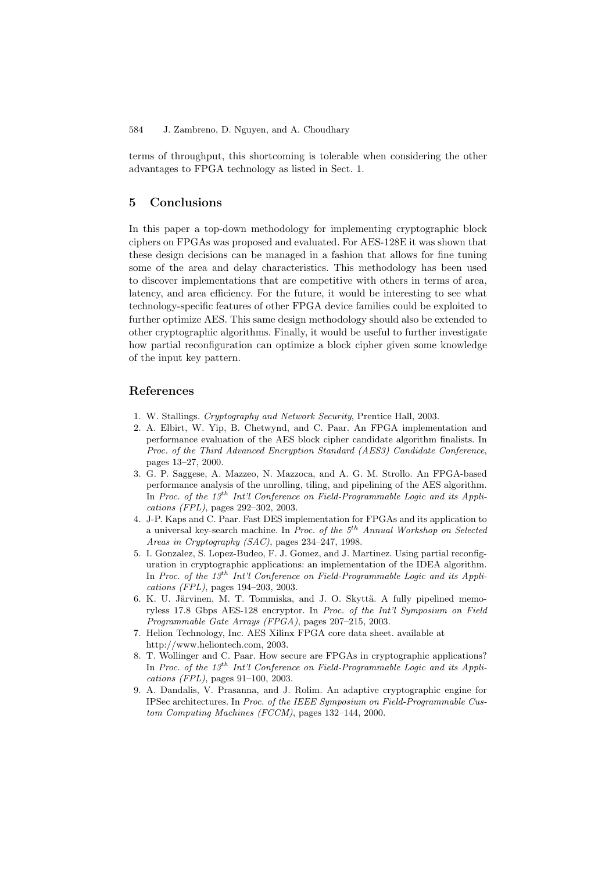<span id="page-9-0"></span>terms of throughput, this shortcoming is tolerable when considering the other advantages to FPGA technology as listed in Sect. 1.

# **5 Conclusions**

In this paper a top-down methodology for implementing cryptographic block ciphers on FPGAs was proposed and evaluated. For AES-128E it was shown that these design decisions can be managed in a fashion that allows for fine tuning some of the area and delay characteristics. This methodology has been used to discover implementations that are competitive with others in terms of area, latency, and area efficiency. For the future, it would be interesting to see what technology-specific features of other FPGA device families could be exploited to further optimize AES. This same design methodology should also be extended to other cryptographic algorithms. Finally, it would be useful to further investigate how partial reconfiguration can optimize a block cipher given some knowledge of the input key pattern.

# **References**

- 1. W. Stallings. Cryptography and Network Security, Prentice Hall, 2003.
- 2. A. Elbirt, W. Yip, B. Chetwynd, and C. Paar. An FPGA implementation and performance evaluation of the AES block cipher candidate algorithm finalists. In Proc. of the Third Advanced Encryption Standard (AES3) Candidate Conference, pages 13–27, 2000.
- 3. G. P. Saggese, A. Mazzeo, N. Mazzoca, and A. G. M. Strollo. An FPGA-based performance analysis of the unrolling, tiling, and pipelining of the AES algorithm. In Proc. of the  $13^{th}$  Int'l Conference on Field-Programmable Logic and its Applications (FPL), pages 292–302, 2003.
- 4. J-P. Kaps and C. Paar. Fast DES implementation for FPGAs and its application to a universal key-search machine. In Proc. of the  $5<sup>th</sup>$  Annual Workshop on Selected Areas in Cryptography (SAC), pages 234–247, 1998.
- 5. I. Gonzalez, S. Lopez-Budeo, F. J. Gomez, and J. Martinez. Using partial reconfiguration in cryptographic applications: an implementation of the IDEA algorithm. In Proc. of the  $13^{th}$  Int'l Conference on Field-Programmable Logic and its Applications (FPL), pages 194–203, 2003.
- 6. K. U. Järvinen, M. T. Tommiska, and J. O. Skyttä. A fully pipelined memoryless 17.8 Gbps AES-128 encryptor. In Proc. of the Int'l Symposium on Field Programmable Gate Arrays (FPGA), pages 207–215, 2003.
- 7. Helion Technology, Inc. AES Xilinx FPGA core data sheet. available at http://www.heliontech.com, 2003.
- 8. T. Wollinger and C. Paar. How secure are FPGAs in cryptographic applications? In Proc. of the  $13^{th}$  Int'l Conference on Field-Programmable Logic and its Applications (FPL), pages 91–100, 2003.
- 9. A. Dandalis, V. Prasanna, and J. Rolim. An adaptive cryptographic engine for IPSec architectures. In Proc. of the IEEE Symposium on Field-Programmable Custom Computing Machines (FCCM), pages 132–144, 2000.